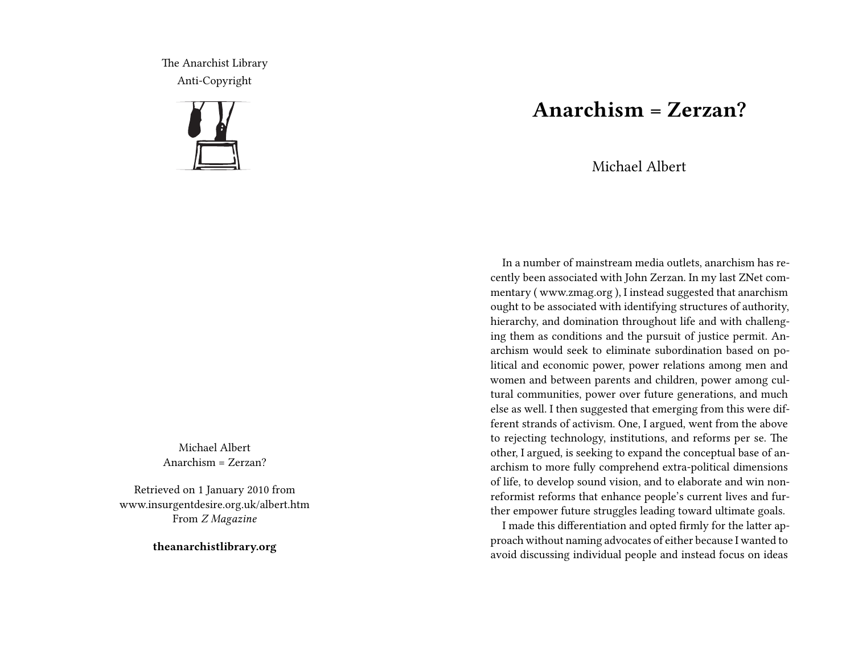The Anarchist Library Anti-Copyright



Michael Albert Anarchism = Zerzan?

Retrieved on 1 January 2010 from www.insurgentdesire.org.uk/albert.htm From *Z Magazine*

**theanarchistlibrary.org**

## **Anarchism = Zerzan?**

Michael Albert

In a number of mainstream media outlets, anarchism has recently been associated with John Zerzan. In my last ZNet commentary ( www.zmag.org ), I instead suggested that anarchism ought to be associated with identifying structures of authority, hierarchy, and domination throughout life and with challenging them as conditions and the pursuit of justice permit. Anarchism would seek to eliminate subordination based on political and economic power, power relations among men and women and between parents and children, power among cultural communities, power over future generations, and much else as well. I then suggested that emerging from this were different strands of activism. One, I argued, went from the above to rejecting technology, institutions, and reforms per se. The other, I argued, is seeking to expand the conceptual base of anarchism to more fully comprehend extra-political dimensions of life, to develop sound vision, and to elaborate and win nonreformist reforms that enhance people's current lives and further empower future struggles leading toward ultimate goals.

I made this differentiation and opted firmly for the latter approach without naming advocates of either because I wanted to avoid discussing individual people and instead focus on ideas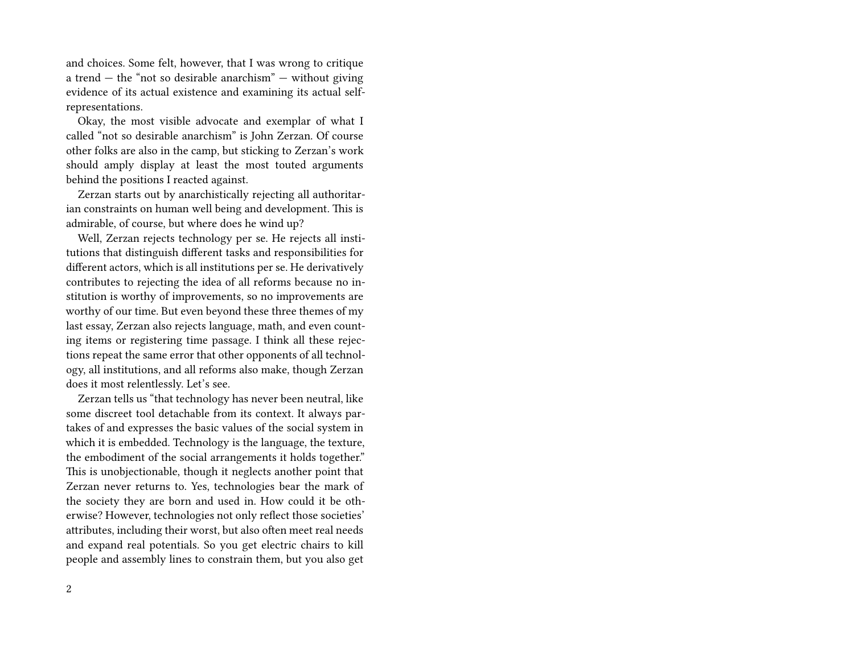and choices. Some felt, however, that I was wrong to critique a trend  $-$  the "not so desirable anarchism"  $-$  without giving evidence of its actual existence and examining its actual selfrepresentations.

Okay, the most visible advocate and exemplar of what I called "not so desirable anarchism" is John Zerzan. Of course other folks are also in the camp, but sticking to Zerzan's work should amply display at least the most touted arguments behind the positions I reacted against.

Zerzan starts out by anarchistically rejecting all authoritarian constraints on human well being and development. This is admirable, of course, but where does he wind up?

Well, Zerzan rejects technology per se. He rejects all institutions that distinguish different tasks and responsibilities for different actors, which is all institutions per se. He derivatively contributes to rejecting the idea of all reforms because no institution is worthy of improvements, so no improvements are worthy of our time. But even beyond these three themes of my last essay, Zerzan also rejects language, math, and even counting items or registering time passage. I think all these rejections repeat the same error that other opponents of all technology, all institutions, and all reforms also make, though Zerzan does it most relentlessly. Let's see.

Zerzan tells us "that technology has never been neutral, like some discreet tool detachable from its context. It always partakes of and expresses the basic values of the social system in which it is embedded. Technology is the language, the texture, the embodiment of the social arrangements it holds together." This is unobjectionable, though it neglects another point that Zerzan never returns to. Yes, technologies bear the mark of the society they are born and used in. How could it be otherwise? However, technologies not only reflect those societies' attributes, including their worst, but also often meet real needs and expand real potentials. So you get electric chairs to kill people and assembly lines to constrain them, but you also get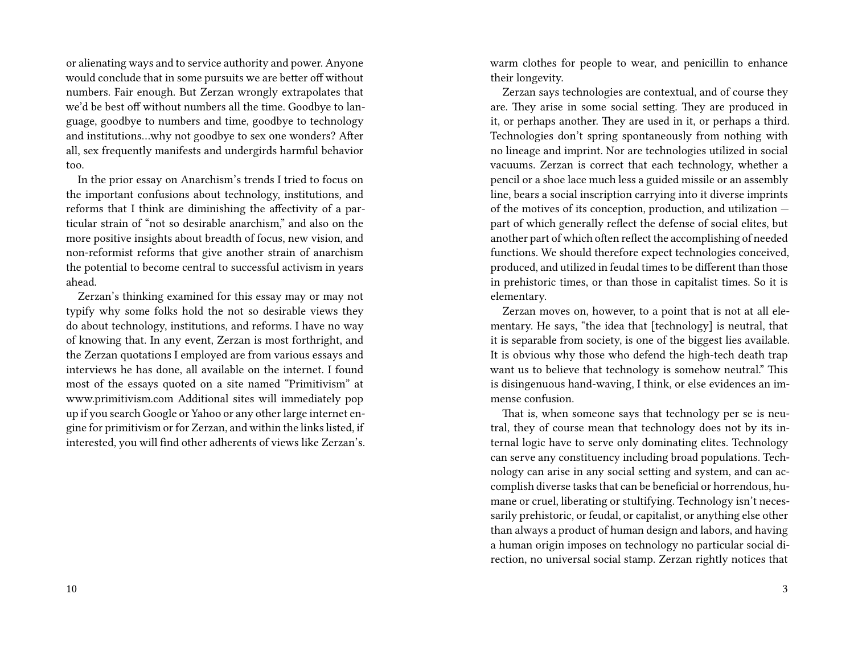or alienating ways and to service authority and power. Anyone would conclude that in some pursuits we are better off without numbers. Fair enough. But Zerzan wrongly extrapolates that we'd be best off without numbers all the time. Goodbye to language, goodbye to numbers and time, goodbye to technology and institutions…why not goodbye to sex one wonders? After all, sex frequently manifests and undergirds harmful behavior too.

In the prior essay on Anarchism's trends I tried to focus on the important confusions about technology, institutions, and reforms that I think are diminishing the affectivity of a particular strain of "not so desirable anarchism," and also on the more positive insights about breadth of focus, new vision, and non-reformist reforms that give another strain of anarchism the potential to become central to successful activism in years ahead.

Zerzan's thinking examined for this essay may or may not typify why some folks hold the not so desirable views they do about technology, institutions, and reforms. I have no way of knowing that. In any event, Zerzan is most forthright, and the Zerzan quotations I employed are from various essays and interviews he has done, all available on the internet. I found most of the essays quoted on a site named "Primitivism" at www.primitivism.com Additional sites will immediately pop up if you search Google or Yahoo or any other large internet engine for primitivism or for Zerzan, and within the links listed, if interested, you will find other adherents of views like Zerzan's. warm clothes for people to wear, and penicillin to enhance their longevity.

Zerzan says technologies are contextual, and of course they are. They arise in some social setting. They are produced in it, or perhaps another. They are used in it, or perhaps a third. Technologies don't spring spontaneously from nothing with no lineage and imprint. Nor are technologies utilized in social vacuums. Zerzan is correct that each technology, whether a pencil or a shoe lace much less a guided missile or an assembly line, bears a social inscription carrying into it diverse imprints of the motives of its conception, production, and utilization part of which generally reflect the defense of social elites, but another part of which often reflect the accomplishing of needed functions. We should therefore expect technologies conceived, produced, and utilized in feudal times to be different than those in prehistoric times, or than those in capitalist times. So it is elementary.

Zerzan moves on, however, to a point that is not at all elementary. He says, "the idea that [technology] is neutral, that it is separable from society, is one of the biggest lies available. It is obvious why those who defend the high-tech death trap want us to believe that technology is somehow neutral." This is disingenuous hand-waving, I think, or else evidences an immense confusion.

That is, when someone says that technology per se is neutral, they of course mean that technology does not by its internal logic have to serve only dominating elites. Technology can serve any constituency including broad populations. Technology can arise in any social setting and system, and can accomplish diverse tasks that can be beneficial or horrendous, humane or cruel, liberating or stultifying. Technology isn't necessarily prehistoric, or feudal, or capitalist, or anything else other than always a product of human design and labors, and having a human origin imposes on technology no particular social direction, no universal social stamp. Zerzan rightly notices that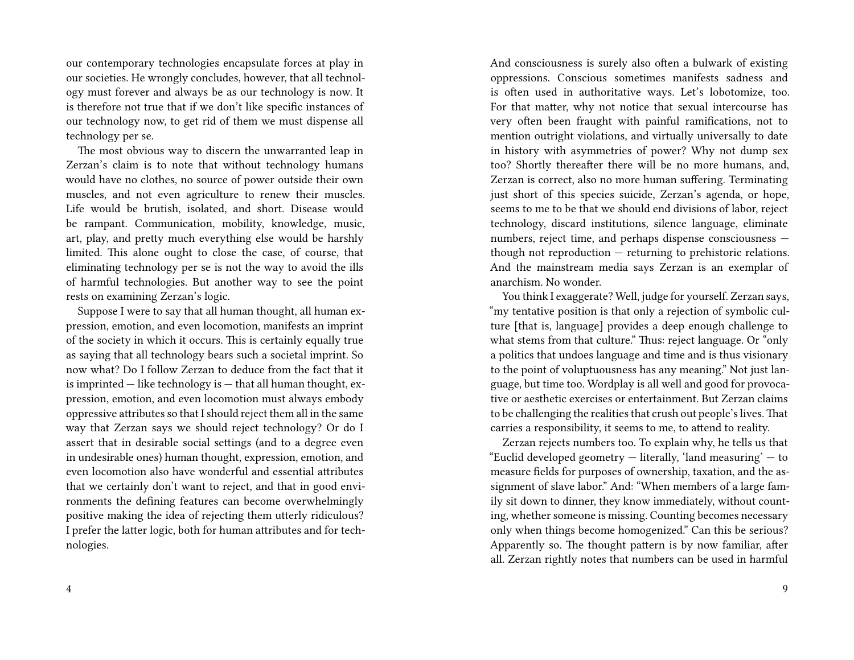our contemporary technologies encapsulate forces at play in our societies. He wrongly concludes, however, that all technology must forever and always be as our technology is now. It is therefore not true that if we don't like specific instances of our technology now, to get rid of them we must dispense all technology per se.

The most obvious way to discern the unwarranted leap in Zerzan's claim is to note that without technology humans would have no clothes, no source of power outside their own muscles, and not even agriculture to renew their muscles. Life would be brutish, isolated, and short. Disease would be rampant. Communication, mobility, knowledge, music, art, play, and pretty much everything else would be harshly limited. This alone ought to close the case, of course, that eliminating technology per se is not the way to avoid the ills of harmful technologies. But another way to see the point rests on examining Zerzan's logic.

Suppose I were to say that all human thought, all human expression, emotion, and even locomotion, manifests an imprint of the society in which it occurs. This is certainly equally true as saying that all technology bears such a societal imprint. So now what? Do I follow Zerzan to deduce from the fact that it is imprinted — like technology is — that all human thought, expression, emotion, and even locomotion must always embody oppressive attributes so that I should reject them all in the same way that Zerzan says we should reject technology? Or do I assert that in desirable social settings (and to a degree even in undesirable ones) human thought, expression, emotion, and even locomotion also have wonderful and essential attributes that we certainly don't want to reject, and that in good environments the defining features can become overwhelmingly positive making the idea of rejecting them utterly ridiculous? I prefer the latter logic, both for human attributes and for technologies.

And consciousness is surely also often a bulwark of existing oppressions. Conscious sometimes manifests sadness and is often used in authoritative ways. Let's lobotomize, too. For that matter, why not notice that sexual intercourse has very often been fraught with painful ramifications, not to mention outright violations, and virtually universally to date in history with asymmetries of power? Why not dump sex too? Shortly thereafter there will be no more humans, and, Zerzan is correct, also no more human suffering. Terminating just short of this species suicide, Zerzan's agenda, or hope, seems to me to be that we should end divisions of labor, reject technology, discard institutions, silence language, eliminate numbers, reject time, and perhaps dispense consciousness though not reproduction — returning to prehistoric relations. And the mainstream media says Zerzan is an exemplar of anarchism. No wonder.

You think I exaggerate? Well, judge for yourself. Zerzan says, "my tentative position is that only a rejection of symbolic culture [that is, language] provides a deep enough challenge to what stems from that culture." Thus: reject language. Or "only a politics that undoes language and time and is thus visionary to the point of voluptuousness has any meaning." Not just language, but time too. Wordplay is all well and good for provocative or aesthetic exercises or entertainment. But Zerzan claims to be challenging the realities that crush out people's lives.That carries a responsibility, it seems to me, to attend to reality.

Zerzan rejects numbers too. To explain why, he tells us that "Euclid developed geometry  $-$  literally, 'land measuring'  $-$  to measure fields for purposes of ownership, taxation, and the assignment of slave labor." And: "When members of a large family sit down to dinner, they know immediately, without counting, whether someone is missing. Counting becomes necessary only when things become homogenized." Can this be serious? Apparently so. The thought pattern is by now familiar, after all. Zerzan rightly notes that numbers can be used in harmful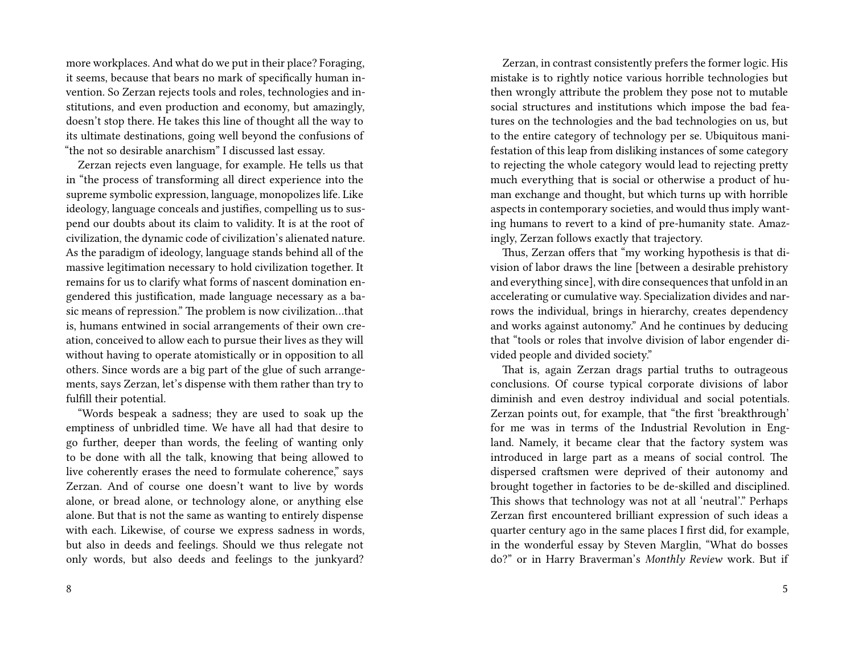more workplaces. And what do we put in their place? Foraging, it seems, because that bears no mark of specifically human invention. So Zerzan rejects tools and roles, technologies and institutions, and even production and economy, but amazingly, doesn't stop there. He takes this line of thought all the way to its ultimate destinations, going well beyond the confusions of "the not so desirable anarchism" I discussed last essay.

Zerzan rejects even language, for example. He tells us that in "the process of transforming all direct experience into the supreme symbolic expression, language, monopolizes life. Like ideology, language conceals and justifies, compelling us to suspend our doubts about its claim to validity. It is at the root of civilization, the dynamic code of civilization's alienated nature. As the paradigm of ideology, language stands behind all of the massive legitimation necessary to hold civilization together. It remains for us to clarify what forms of nascent domination engendered this justification, made language necessary as a basic means of repression." The problem is now civilization…that is, humans entwined in social arrangements of their own creation, conceived to allow each to pursue their lives as they will without having to operate atomistically or in opposition to all others. Since words are a big part of the glue of such arrangements, says Zerzan, let's dispense with them rather than try to fulfill their potential.

"Words bespeak a sadness; they are used to soak up the emptiness of unbridled time. We have all had that desire to go further, deeper than words, the feeling of wanting only to be done with all the talk, knowing that being allowed to live coherently erases the need to formulate coherence," says Zerzan. And of course one doesn't want to live by words alone, or bread alone, or technology alone, or anything else alone. But that is not the same as wanting to entirely dispense with each. Likewise, of course we express sadness in words, but also in deeds and feelings. Should we thus relegate not only words, but also deeds and feelings to the junkyard?

Zerzan, in contrast consistently prefers the former logic. His mistake is to rightly notice various horrible technologies but then wrongly attribute the problem they pose not to mutable social structures and institutions which impose the bad features on the technologies and the bad technologies on us, but to the entire category of technology per se. Ubiquitous manifestation of this leap from disliking instances of some category to rejecting the whole category would lead to rejecting pretty much everything that is social or otherwise a product of human exchange and thought, but which turns up with horrible aspects in contemporary societies, and would thus imply wanting humans to revert to a kind of pre-humanity state. Amazingly, Zerzan follows exactly that trajectory.

Thus, Zerzan offers that "my working hypothesis is that division of labor draws the line [between a desirable prehistory and everything since], with dire consequences that unfold in an accelerating or cumulative way. Specialization divides and narrows the individual, brings in hierarchy, creates dependency and works against autonomy." And he continues by deducing that "tools or roles that involve division of labor engender divided people and divided society."

That is, again Zerzan drags partial truths to outrageous conclusions. Of course typical corporate divisions of labor diminish and even destroy individual and social potentials. Zerzan points out, for example, that "the first 'breakthrough' for me was in terms of the Industrial Revolution in England. Namely, it became clear that the factory system was introduced in large part as a means of social control. The dispersed craftsmen were deprived of their autonomy and brought together in factories to be de-skilled and disciplined. This shows that technology was not at all 'neutral'." Perhaps Zerzan first encountered brilliant expression of such ideas a quarter century ago in the same places I first did, for example, in the wonderful essay by Steven Marglin, "What do bosses do?" or in Harry Braverman's *Monthly Review* work. But if